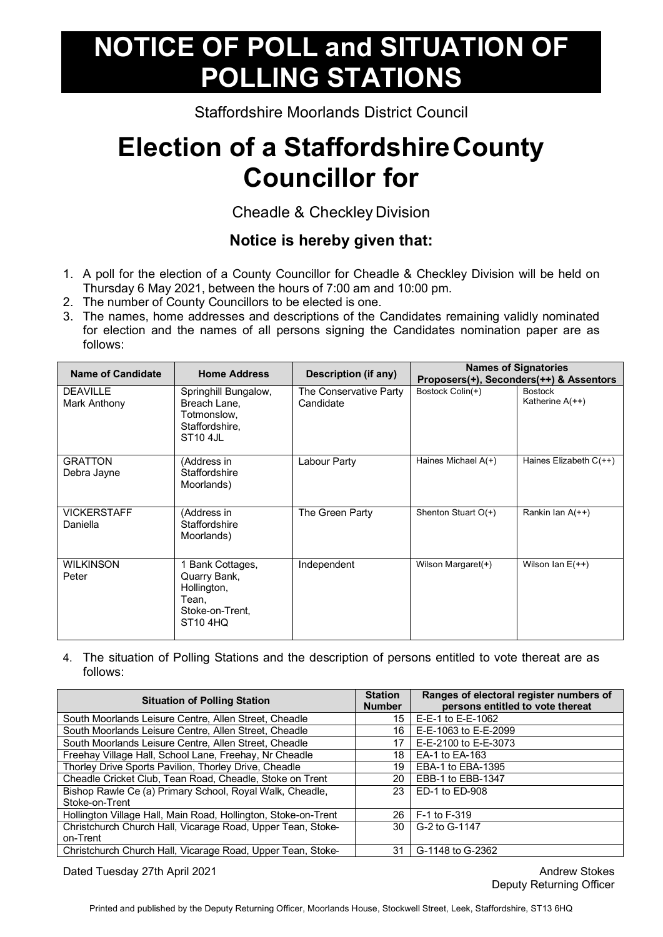## **NOTICE OF POLL and SITUATION OF POLLING STATIONS**

Staffordshire Moorlands District Council

## **Election of a StaffordshireCounty Councillor for**

Cheadle & Checkley Division

## **Notice is hereby given that:**

- 1. A poll for the election of a County Councillor for Cheadle & Checkley Division will be held on Thursday 6 May 2021, between the hours of 7:00 am and 10:00 pm.
- 2. The number of County Councillors to be elected is one.
- 3. The names, home addresses and descriptions of the Candidates remaining validly nominated for election and the names of all persons signing the Candidates nomination paper are as follows:

| <b>Name of Candidate</b>        | <b>Home Address</b>                                                                                 | Description (if any)                |                       | <b>Names of Signatories</b><br>Proposers(+), Seconders(++) & Assentors |
|---------------------------------|-----------------------------------------------------------------------------------------------------|-------------------------------------|-----------------------|------------------------------------------------------------------------|
| <b>DEAVILLE</b><br>Mark Anthony | Springhill Bungalow,<br>Breach Lane,<br>Totmonslow,<br>Staffordshire,<br><b>ST10 4JL</b>            | The Conservative Party<br>Candidate | Bostock Colin(+)      | <b>Bostock</b><br>Katherine A(++)                                      |
| <b>GRATTON</b><br>Debra Jayne   | (Address in<br>Staffordshire<br>Moorlands)                                                          | Labour Party                        | Haines Michael $A(+)$ | Haines Elizabeth C(++)                                                 |
| <b>VICKERSTAFF</b><br>Daniella  | (Address in<br>Staffordshire<br>Moorlands)                                                          | The Green Party                     | Shenton Stuart $O(+)$ | Rankin Ian $A(++)$                                                     |
| <b>WILKINSON</b><br>Peter       | 1 Bank Cottages,<br>Quarry Bank,<br>Hollington,<br>Tean,<br>Stoke-on-Trent,<br>ST <sub>10</sub> 4HQ | Independent                         | Wilson Margaret(+)    | Wilson Ian $E(++)$                                                     |

4. The situation of Polling Stations and the description of persons entitled to vote thereat are as follows:

| <b>Situation of Polling Station</b>                            |    | Ranges of electoral register numbers of<br>persons entitled to vote thereat |
|----------------------------------------------------------------|----|-----------------------------------------------------------------------------|
| South Moorlands Leisure Centre, Allen Street, Cheadle          | 15 | E-E-1 to E-E-1062                                                           |
| South Moorlands Leisure Centre, Allen Street, Cheadle          | 16 | E-E-1063 to E-E-2099                                                        |
| South Moorlands Leisure Centre, Allen Street, Cheadle          | 17 | E-E-2100 to E-E-3073                                                        |
| Freehay Village Hall, School Lane, Freehay, Nr Cheadle         | 18 | EA-1 to EA-163                                                              |
| Thorley Drive Sports Pavilion, Thorley Drive, Cheadle          | 19 | EBA-1 to EBA-1395                                                           |
| Cheadle Cricket Club, Tean Road, Cheadle, Stoke on Trent       | 20 | EBB-1 to EBB-1347                                                           |
| Bishop Rawle Ce (a) Primary School, Royal Walk, Cheadle,       | 23 | ED-1 to ED-908                                                              |
| Stoke-on-Trent                                                 |    |                                                                             |
| Hollington Village Hall, Main Road, Hollington, Stoke-on-Trent | 26 | F-1 to F-319                                                                |
| Christchurch Church Hall, Vicarage Road, Upper Tean, Stoke-    | 30 | G-2 to G-1147                                                               |
| on-Trent                                                       |    |                                                                             |
| Christchurch Church Hall, Vicarage Road, Upper Tean, Stoke-    | 31 | G-1148 to G-2362                                                            |

Dated Tuesday 27th April 2021 **Andrew Stokes Contract Contract Contract Contract Contract Contract Contract Contract Contract Contract Contract Contract Contract Contract Contract Contract Contract Contract Contract Cont** 

Deputy Returning Officer